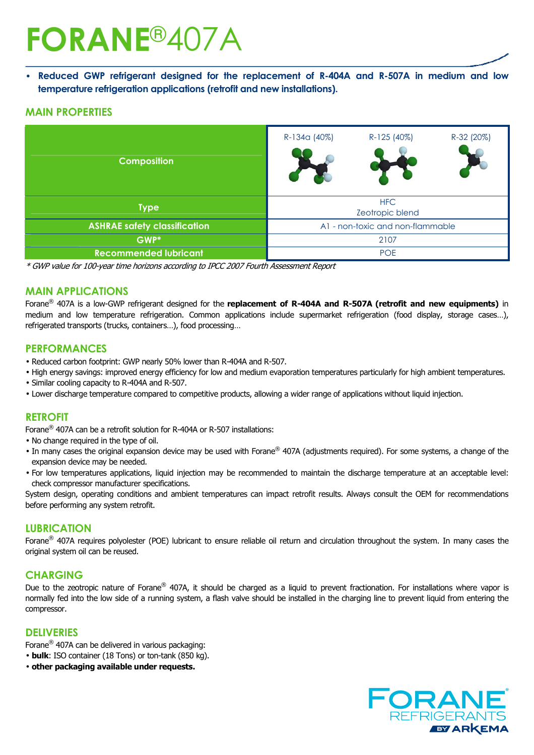# **FORANE**®407A

• **Reduced GWP refrigerant designed for the replacement of R-404A and R-507A in medium and low temperature refrigeration applications (retrofit and new installations).** 

#### **MAIN PROPERTIES**

| <b>Composition</b>                  | R-134a (40%)                     | R-125 (40%) | R-32 (20%) |  |
|-------------------------------------|----------------------------------|-------------|------------|--|
| <b>Type</b>                         | <b>HFC</b><br>Zeotropic blend    |             |            |  |
| <b>ASHRAE safety classification</b> | A1 - non-toxic and non-flammable |             |            |  |
| GWP*                                | 2107                             |             |            |  |
| <b>Recommended lubricant</b>        | <b>POE</b>                       |             |            |  |

\* GWP value for 100-year time horizons according to IPCC 2007 Fourth Assessment Report

#### **MAIN APPLICATIONS**

Forane® 407A is a low-GWP refrigerant designed for the **replacement of R-404A and R-507A (retrofit and new equipments)** in medium and low temperature refrigeration. Common applications include supermarket refrigeration (food display, storage cases…), refrigerated transports (trucks, containers…), food processing…

#### **PERFORMANCES**

- Reduced carbon footprint: GWP nearly 50% lower than R-404A and R-507.
- High energy savings: improved energy efficiency for low and medium evaporation temperatures particularly for high ambient temperatures.
- Similar cooling capacity to R-404A and R-507.
- Lower discharge temperature compared to competitive products, allowing a wider range of applications without liquid injection.

#### **RETROFIT**

Forane® 407A can be a retrofit solution for R-404A or R-507 installations:

- No change required in the type of oil.
- In many cases the original expansion device may be used with Forane® 407A (adjustments required). For some systems, a change of the expansion device may be needed.
- For low temperatures applications, liquid injection may be recommended to maintain the discharge temperature at an acceptable level: check compressor manufacturer specifications.

System design, operating conditions and ambient temperatures can impact retrofit results. Always consult the OEM for recommendations before performing any system retrofit.

#### **LUBRICATION**

Forane® 407A requires polyolester (POE) lubricant to ensure reliable oil return and circulation throughout the system. In many cases the original system oil can be reused.

#### **CHARGING**

Due to the zeotropic nature of Forane® 407A, it should be charged as a liquid to prevent fractionation. For installations where vapor is normally fed into the low side of a running system, a flash valve should be installed in the charging line to prevent liquid from entering the compressor.

#### **DELIVERIES**

Forane® 407A can be delivered in various packaging:

• **bulk**: ISO container (18 Tons) or ton-tank (850 kg).

• **other packaging available under requests.**